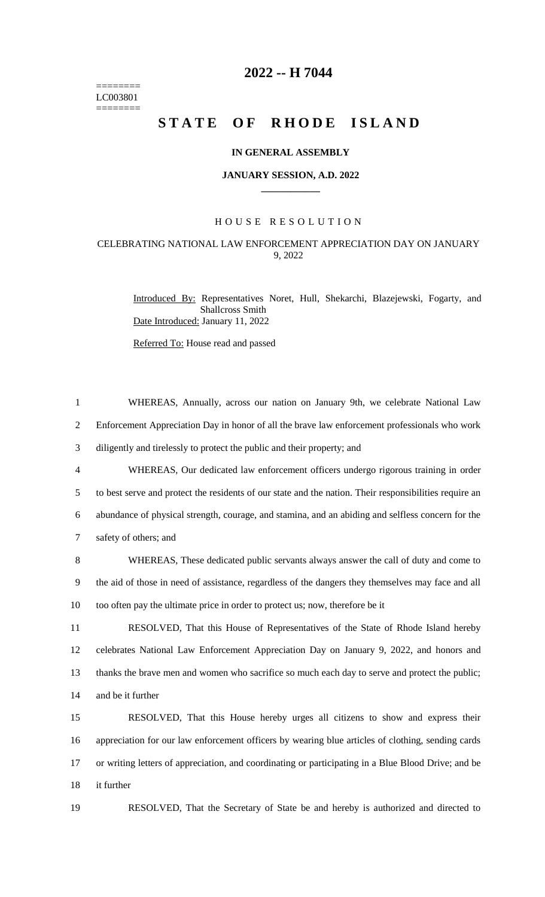======== LC003801  $=$ 

## **2022 -- H 7044**

# **STATE OF RHODE ISLAND**

#### **IN GENERAL ASSEMBLY**

#### **JANUARY SESSION, A.D. 2022 \_\_\_\_\_\_\_\_\_\_\_\_**

#### H O U S E R E S O L U T I O N

### CELEBRATING NATIONAL LAW ENFORCEMENT APPRECIATION DAY ON JANUARY 9, 2022

Introduced By: Representatives Noret, Hull, Shekarchi, Blazejewski, Fogarty, and Shallcross Smith Date Introduced: January 11, 2022

Referred To: House read and passed

| $\mathbf{1}$   | WHEREAS, Annually, across our nation on January 9th, we celebrate National Law                         |
|----------------|--------------------------------------------------------------------------------------------------------|
| $\overline{2}$ | Enforcement Appreciation Day in honor of all the brave law enforcement professionals who work          |
| 3              | diligently and tirelessly to protect the public and their property; and                                |
| 4              | WHEREAS, Our dedicated law enforcement officers undergo rigorous training in order                     |
| 5              | to best serve and protect the residents of our state and the nation. Their responsibilities require an |
| 6              | abundance of physical strength, courage, and stamina, and an abiding and selfless concern for the      |
| $\tau$         | safety of others; and                                                                                  |
| 8              | WHEREAS, These dedicated public servants always answer the call of duty and come to                    |
| 9              | the aid of those in need of assistance, regardless of the dangers they themselves may face and all     |
| 10             | too often pay the ultimate price in order to protect us; now, therefore be it                          |
| 11             | RESOLVED, That this House of Representatives of the State of Rhode Island hereby                       |
| 12             | celebrates National Law Enforcement Appreciation Day on January 9, 2022, and honors and                |
| 13             | thanks the brave men and women who sacrifice so much each day to serve and protect the public;         |
| 14             | and be it further                                                                                      |
| 15             | RESOLVED, That this House hereby urges all citizens to show and express their                          |
| 16             | appreciation for our law enforcement officers by wearing blue articles of clothing, sending cards      |
| 17             | or writing letters of appreciation, and coordinating or participating in a Blue Blood Drive; and be    |
|                |                                                                                                        |

- 18 it further
- 

19 RESOLVED, That the Secretary of State be and hereby is authorized and directed to